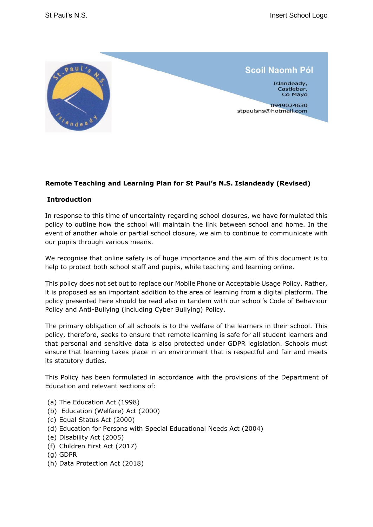

## **Remote Teaching and Learning Plan for St Paul's N.S. Islandeady (Revised)**

## **Introduction**

In response to this time of uncertainty regarding school closures, we have formulated this policy to outline how the school will maintain the link between school and home. In the event of another whole or partial school closure, we aim to continue to communicate with our pupils through various means.

We recognise that online safety is of huge importance and the aim of this document is to help to protect both school staff and pupils, while teaching and learning online.

This policy does not set out to replace our Mobile Phone or Acceptable Usage Policy. Rather, it is proposed as an important addition to the area of learning from a digital platform. The policy presented here should be read also in tandem with our school's Code of Behaviour Policy and Anti-Bullying (including Cyber Bullying) Policy.

The primary obligation of all schools is to the welfare of the learners in their school. This policy, therefore, seeks to ensure that remote learning is safe for all student learners and that personal and sensitive data is also protected under GDPR legislation. Schools must ensure that learning takes place in an environment that is respectful and fair and meets its statutory duties.

This Policy has been formulated in accordance with the provisions of the Department of Education and relevant sections of:

- (a) The Education Act (1998)
- (b) Education (Welfare) Act (2000)
- (c) Equal Status Act (2000)
- (d) Education for Persons with Special Educational Needs Act (2004)
- (e) Disability Act (2005)
- (f) Children First Act (2017)
- (g) GDPR
- (h) Data Protection Act (2018)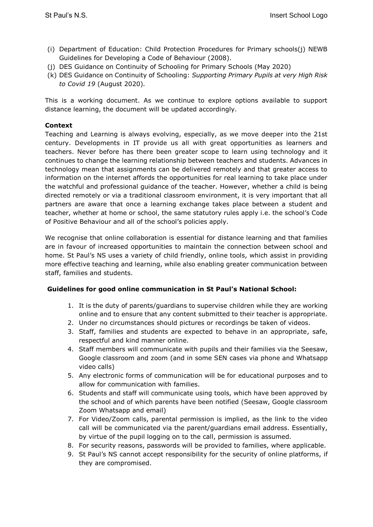- (i) Department of Education: Child Protection Procedures for Primary schools(j) NEWB Guidelines for Developing a Code of Behaviour (2008).
- (j) DES Guidance on Continuity of Schooling for Primary Schools (May 2020)
- (k) DES Guidance on Continuity of Schooling: *Supporting Primary Pupils at very High Risk to Covid 19* (August 2020)*.*

This is a working document. As we continue to explore options available to support distance learning, the document will be updated accordingly.

## **Context**

Teaching and Learning is always evolving, especially, as we move deeper into the 21st century. Developments in IT provide us all with great opportunities as learners and teachers. Never before has there been greater scope to learn using technology and it continues to change the learning relationship between teachers and students. Advances in technology mean that assignments can be delivered remotely and that greater access to information on the internet affords the opportunities for real learning to take place under the watchful and professional guidance of the teacher. However, whether a child is being directed remotely or via a traditional classroom environment, it is very important that all partners are aware that once a learning exchange takes place between a student and teacher, whether at home or school, the same statutory rules apply i.e. the school's Code of Positive Behaviour and all of the school's policies apply.

We recognise that online collaboration is essential for distance learning and that families are in favour of increased opportunities to maintain the connection between school and home. St Paul's NS uses a variety of child friendly, online tools, which assist in providing more effective teaching and learning, while also enabling greater communication between staff, families and students.

## **Guidelines for good online communication in St Paul's National School:**

- 1. It is the duty of parents/guardians to supervise children while they are working online and to ensure that any content submitted to their teacher is appropriate.
- 2. Under no circumstances should pictures or recordings be taken of videos.
- 3. Staff, families and students are expected to behave in an appropriate, safe, respectful and kind manner online.
- 4. Staff members will communicate with pupils and their families via the Seesaw, Google classroom and zoom (and in some SEN cases via phone and Whatsapp video calls)
- 5. Any electronic forms of communication will be for educational purposes and to allow for communication with families.
- 6. Students and staff will communicate using tools, which have been approved by the school and of which parents have been notified (Seesaw, Google classroom Zoom Whatsapp and email)
- 7. For Video/Zoom calls, parental permission is implied, as the link to the video call will be communicated via the parent/guardians email address. Essentially, by virtue of the pupil logging on to the call, permission is assumed.
- 8. For security reasons, passwords will be provided to families, where applicable.
- 9. St Paul's NS cannot accept responsibility for the security of online platforms, if they are compromised.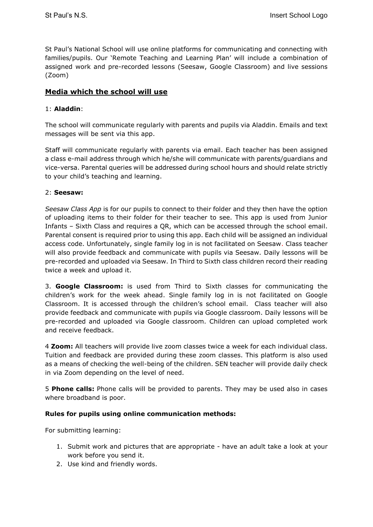St Paul's National School will use online platforms for communicating and connecting with families/pupils. Our 'Remote Teaching and Learning Plan' will include a combination of assigned work and pre-recorded lessons (Seesaw, Google Classroom) and live sessions (Zoom)

# **Media which the school will use**

## 1: **Aladdin**:

The school will communicate regularly with parents and pupils via Aladdin. Emails and text messages will be sent via this app.

Staff will communicate regularly with parents via email. Each teacher has been assigned a class e-mail address through which he/she will communicate with parents/guardians and vice-versa. Parental queries will be addressed during school hours and should relate strictly to your child's teaching and learning.

## 2: **Seesaw:**

*Seesaw Class App* is for our pupils to connect to their folder and they then have the option of uploading items to their folder for their teacher to see. This app is used from Junior Infants – Sixth Class and requires a QR, which can be accessed through the school email. Parental consent is required prior to using this app. Each child will be assigned an individual access code. Unfortunately, single family log in is not facilitated on Seesaw. Class teacher will also provide feedback and communicate with pupils via Seesaw. Daily lessons will be pre-recorded and uploaded via Seesaw. In Third to Sixth class children record their reading twice a week and upload it.

3. **Google Classroom:** is used from Third to Sixth classes for communicating the children's work for the week ahead. Single family log in is not facilitated on Google Classroom. It is accessed through the children's school email. Class teacher will also provide feedback and communicate with pupils via Google classroom. Daily lessons will be pre-recorded and uploaded via Google classroom. Children can upload completed work and receive feedback.

4 **Zoom:** All teachers will provide live zoom classes twice a week for each individual class. Tuition and feedback are provided during these zoom classes. This platform is also used as a means of checking the well-being of the children. SEN teacher will provide daily check in via Zoom depending on the level of need.

5 **Phone calls:** Phone calls will be provided to parents. They may be used also in cases where broadband is poor.

## **Rules for pupils using online communication methods:**

For submitting learning:

- 1. Submit work and pictures that are appropriate have an adult take a look at your work before you send it.
- 2. Use kind and friendly words.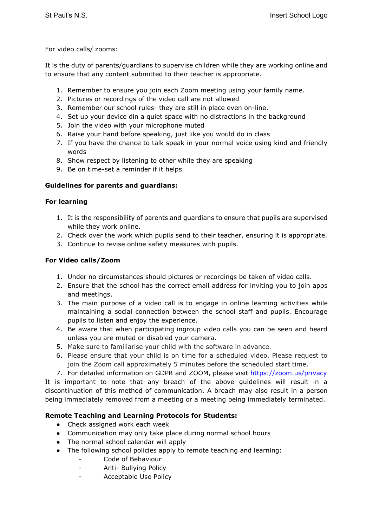For video calls/ zooms:

It is the duty of parents/guardians to supervise children while they are working online and to ensure that any content submitted to their teacher is appropriate.

- 1. Remember to ensure you join each Zoom meeting using your family name.
- 2. Pictures or recordings of the video call are not allowed
- 3. Remember our school rules- they are still in place even on-line.
- 4. Set up your device din a quiet space with no distractions in the background
- 5. Join the video with your microphone muted
- 6. Raise your hand before speaking, just like you would do in class
- 7. If you have the chance to talk speak in your normal voice using kind and friendly words
- 8. Show respect by listening to other while they are speaking
- 9. Be on time-set a reminder if it helps

## **Guidelines for parents and guardians:**

## **For learning**

- 1. It is the responsibility of parents and guardians to ensure that pupils are supervised while they work online.
- 2. Check over the work which pupils send to their teacher, ensuring it is appropriate.
- 3. Continue to revise online safety measures with pupils.

## **For Video calls/Zoom**

- 1. Under no circumstances should pictures or recordings be taken of video calls.
- 2. Ensure that the school has the correct email address for inviting you to join apps and meetings.
- 3. The main purpose of a video call is to engage in online learning activities while maintaining a social connection between the school staff and pupils. Encourage pupils to listen and enjoy the experience.
- 4. Be aware that when participating ingroup video calls you can be seen and heard unless you are muted or disabled your camera.
- 5. Make sure to familiarise your child with the software in advance.
- 6. Please ensure that your child is on time for a scheduled video. Please request to join the Zoom call approximately 5 minutes before the scheduled start time.
- 7. For detailed information on GDPR and ZOOM, please visit<https://zoom.us/privacy>

It is important to note that any breach of the above guidelines will result in a discontinuation of this method of communication. A breach may also result in a person being immediately removed from a meeting or a meeting being immediately terminated.

# **Remote Teaching and Learning Protocols for Students:**

- Check assigned work each week
- Communication may only take place during normal school hours
- The normal school calendar will apply
- The following school policies apply to remote teaching and learning:
	- Code of Behaviour
	- Anti- Bullying Policy
	- Acceptable Use Policy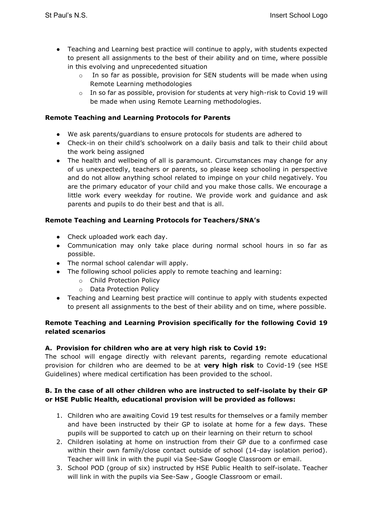- Teaching and Learning best practice will continue to apply, with students expected to present all assignments to the best of their ability and on time, where possible in this evolving and unprecedented situation
	- In so far as possible, provision for SEN students will be made when using Remote Learning methodologies
	- $\circ$  In so far as possible, provision for students at very high-risk to Covid 19 will be made when using Remote Learning methodologies.

## **Remote Teaching and Learning Protocols for Parents**

- We ask parents/guardians to ensure protocols for students are adhered to
- Check-in on their child's schoolwork on a daily basis and talk to their child about the work being assigned
- The health and wellbeing of all is paramount. Circumstances may change for any of us unexpectedly, teachers or parents, so please keep schooling in perspective and do not allow anything school related to impinge on your child negatively. You are the primary educator of your child and you make those calls. We encourage a little work every weekday for routine. We provide work and guidance and ask parents and pupils to do their best and that is all.

## **Remote Teaching and Learning Protocols for Teachers/SNA's**

- Check uploaded work each day.
- Communication may only take place during normal school hours in so far as possible.
- The normal school calendar will apply.
- The following school policies apply to remote teaching and learning:
	- o Child Protection Policy
	- o Data Protection Policy
- Teaching and Learning best practice will continue to apply with students expected to present all assignments to the best of their ability and on time, where possible.

## **Remote Teaching and Learning Provision specifically for the following Covid 19 related scenarios**

## **A. Provision for children who are at very high risk to Covid 19:**

The school will engage directly with relevant parents, regarding remote educational provision for children who are deemed to be at **very high risk** to Covid-19 (see HSE Guidelines) where medical certification has been provided to the school.

## **B. In the case of all other children who are instructed to self-isolate by their GP or HSE Public Health, educational provision will be provided as follows:**

- 1. Children who are awaiting Covid 19 test results for themselves or a family member and have been instructed by their GP to isolate at home for a few days. These pupils will be supported to catch up on their learning on their return to school
- 2. Children isolating at home on instruction from their GP due to a confirmed case within their own family/close contact outside of school (14-day isolation period). Teacher will link in with the pupil via See-Saw Google Classroom or email.
- 3. School POD (group of six) instructed by HSE Public Health to self-isolate. Teacher will link in with the pupils via See-Saw , Google Classroom or email.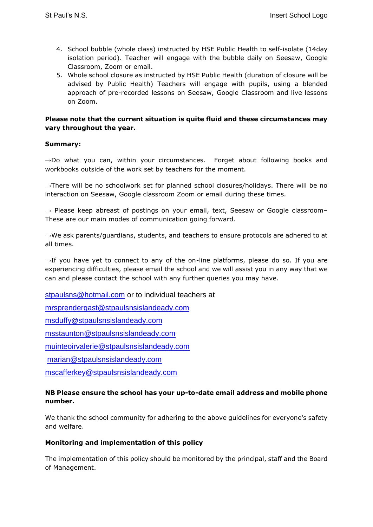- 4. School bubble (whole class) instructed by HSE Public Health to self-isolate (14day isolation period). Teacher will engage with the bubble daily on Seesaw, Google Classroom, Zoom or email.
- 5. Whole school closure as instructed by HSE Public Health (duration of closure will be advised by Public Health) Teachers will engage with pupils, using a blended approach of pre-recorded lessons on Seesaw, Google Classroom and live lessons on Zoom.

#### **Please note that the current situation is quite fluid and these circumstances may vary throughout the year.**

#### **Summary:**

→Do what you can, within your circumstances. Forget about following books and workbooks outside of the work set by teachers for the moment.

→There will be no schoolwork set for planned school closures/holidays. There will be no interaction on Seesaw, Google classroom Zoom or email during these times.

 $\rightarrow$  Please keep abreast of postings on your email, text, Seesaw or Google classroom-These are our main modes of communication going forward.

 $\rightarrow$ We ask parents/guardians, students, and teachers to ensure protocols are adhered to at all times.

 $\rightarrow$ If you have yet to connect to any of the on-line platforms, please do so. If you are experiencing difficulties, please email the school and we will assist you in any way that we can and please contact the school with any further queries you may have.

[stpaulsns@hotmail.com](mailto:stpaulsns@hotmail.com) or to individual teachers at

[mrsprendergast@stpaulsnsislandeady.com](mailto:mrsprendergast@stpaulsnsislandeady.com)

msduffy@[stpaulsnsislandeady.com](mailto:msduffy@stpaulsnsislandeady.com)

[msstaunton@stpaulsnsislandeady.com](mailto:msstaunton@stpaulsnsislandeady.com)

[muinteoirvalerie@stpaulsnsislandeady.com](mailto:muinteoirvalerie@stpaulsnsislandeady.com)

[marian@stpaulsnsislandeady.com](mailto:marian@stpaulsnsislandeady.com)

[mscafferkey@stpaulsnsislandeady.com](mailto:mscafferkey@stpaulsnsislandeady.com)

#### **NB Please ensure the school has your up-to-date email address and mobile phone number.**

We thank the school community for adhering to the above guidelines for everyone's safety and welfare.

## **Monitoring and implementation of this policy**

The implementation of this policy should be monitored by the principal, staff and the Board of Management.